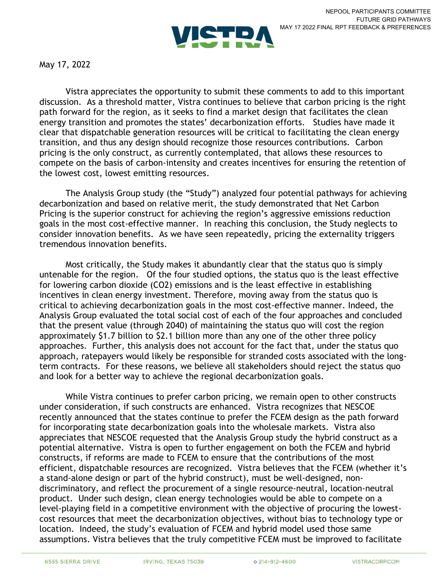

May 17, 2022

Vistra appreciates the opportunity to submit these comments to add to this important discussion. As a threshold matter, Vistra continues to believe that carbon pricing is the right path forward for the region, as it seeks to find a market design that facilitates the clean energy transition and promotes the states' decarbonization efforts. Studies have made it clear that dispatchable generation resources will be critical to facilitating the clean energy transition, and thus any design should recognize those resources contributions. Carbon pricing is the only construct, as currently contemplated, that allows these resources to compete on the basis of carbon-intensity and creates incentives for ensuring the retention of the lowest cost, lowest emitting resources.

The Analysis Group study (the "Study") analyzed four potential pathways for achieving decarbonization and based on relative merit, the study demonstrated that Net Carbon Pricing is the superior construct for achieving the region's aggressive emissions reduction goals in the most cost-effective manner. In reaching this conclusion, the Study neglects to consider innovation benefits. As we have seen repeatedly, pricing the externality triggers tremendous innovation benefits.

Most critically, the Study makes it abundantly clear that the status quo is simply untenable for the region. Of the four studied options, the status quo is the least effective for lowering carbon dioxide (CO2) emissions and is the least effective in establishing incentives in clean energy investment. Therefore, moving away from the status quo is critical to achieving decarbonization goals in the most cost-effective manner. Indeed, the Analysis Group evaluated the total social cost of each of the four approaches and concluded that the present value (through 2040) of maintaining the status quo will cost the region approximately \$1.7 billion to \$2.1 billion more than any one of the other three policy approaches. Further, this analysis does not account for the fact that, under the status quo approach, ratepayers would likely be responsible for stranded costs associated with the longterm contracts. For these reasons, we believe all stakeholders should reject the status quo and look for a better way to achieve the regional decarbonization goals.

While Vistra continues to prefer carbon pricing, we remain open to other constructs under consideration, if such constructs are enhanced. Vistra recognizes that NESCOE recently announced that the states continue to prefer the FCEM design as the path forward for incorporating state decarbonization goals into the wholesale markets. Vistra also appreciates that NESCOE requested that the Analysis Group study the hybrid construct as a potential alternative. Vistra is open to further engagement on both the FCEM and hybrid constructs, if reforms are made to FCEM to ensure that the contributions of the most efficient, dispatchable resources are recognized. Vistra believes that the FCEM (whether it's a stand-alone design or part of the hybrid construct), must be well-designed, nondiscriminatory, and reflect the procurement of a single resource-neutral, location-neutral product. Under such design, clean energy technologies would be able to compete on a level-playing field in a competitive environment with the objective of procuring the lowestcost resources that meet the decarbonization objectives, without bias to technology type or location. Indeed, the study's evaluation of FCEM and hybrid model used those same assumptions. Vistra believes that the truly competitive FCEM must be improved to facilitate